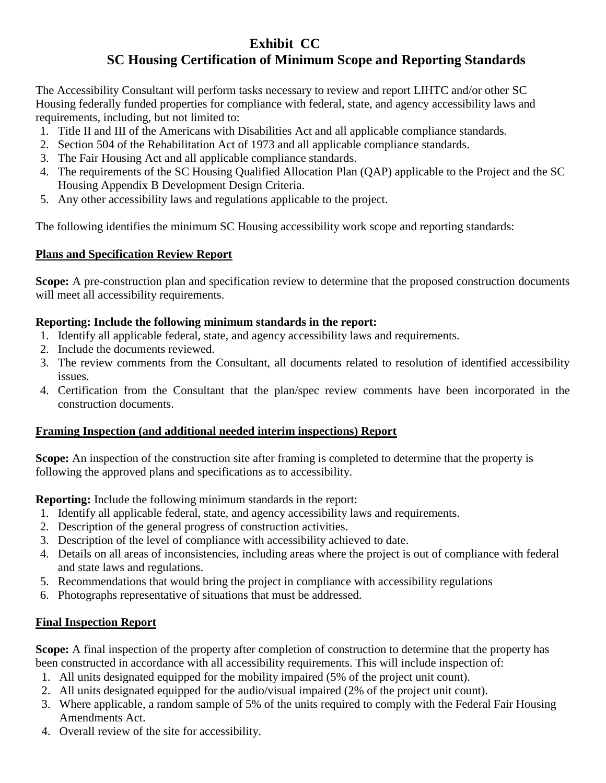# **Exhibit CC**

# **SC Housing Certification of Minimum Scope and Reporting Standards**

The Accessibility Consultant will perform tasks necessary to review and report LIHTC and/or other SC Housing federally funded properties for compliance with federal, state, and agency accessibility laws and requirements, including, but not limited to:

- 1. Title II and III of the Americans with Disabilities Act and all applicable compliance standards.
- 2. Section 504 of the Rehabilitation Act of 1973 and all applicable compliance standards.
- 3. The Fair Housing Act and all applicable compliance standards.
- 4. The requirements of the SC Housing Qualified Allocation Plan (QAP) applicable to the Project and the SC Housing Appendix B Development Design Criteria.
- 5. Any other accessibility laws and regulations applicable to the project.

The following identifies the minimum SC Housing accessibility work scope and reporting standards:

### **Plans and Specification Review Report**

**Scope:** A pre-construction plan and specification review to determine that the proposed construction documents will meet all accessibility requirements.

### **Reporting: Include the following minimum standards in the report:**

- 1. Identify all applicable federal, state, and agency accessibility laws and requirements.
- 2. Include the documents reviewed.
- 3. The review comments from the Consultant, all documents related to resolution of identified accessibility issues.
- 4. Certification from the Consultant that the plan/spec review comments have been incorporated in the construction documents.

## **Framing Inspection (and additional needed interim inspections) Report**

**Scope:** An inspection of the construction site after framing is completed to determine that the property is following the approved plans and specifications as to accessibility.

**Reporting:** Include the following minimum standards in the report:

- 1. Identify all applicable federal, state, and agency accessibility laws and requirements.
- 2. Description of the general progress of construction activities.
- 3. Description of the level of compliance with accessibility achieved to date.
- 4. Details on all areas of inconsistencies, including areas where the project is out of compliance with federal and state laws and regulations.
- 5. Recommendations that would bring the project in compliance with accessibility regulations
- 6. Photographs representative of situations that must be addressed.

## **Final Inspection Report**

**Scope:** A final inspection of the property after completion of construction to determine that the property has been constructed in accordance with all accessibility requirements. This will include inspection of:

- 1. All units designated equipped for the mobility impaired (5% of the project unit count).
- 2. All units designated equipped for the audio/visual impaired (2% of the project unit count).
- 3. Where applicable, a random sample of 5% of the units required to comply with the Federal Fair Housing Amendments Act.
- 4. Overall review of the site for accessibility.